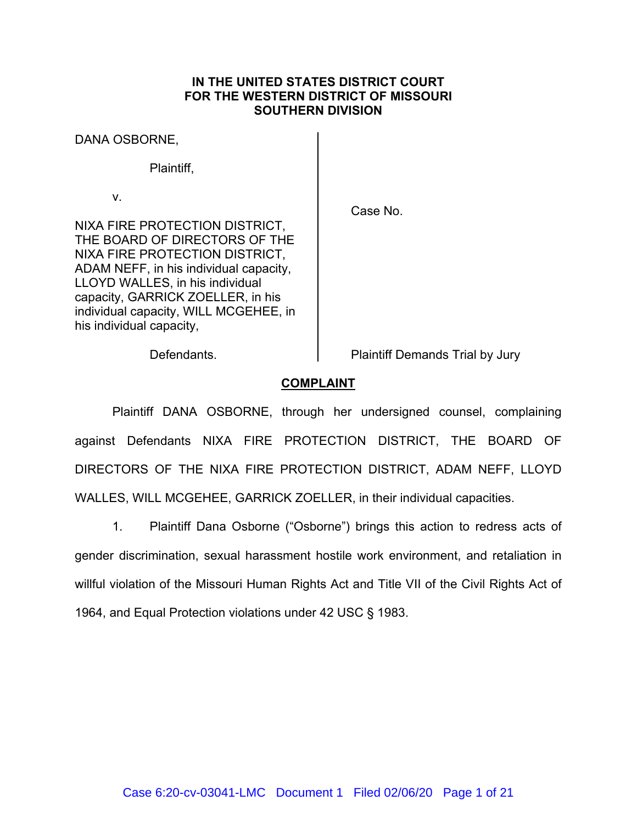# **IN THE UNITED STATES DISTRICT COURT FOR THE WESTERN DISTRICT OF MISSOURI SOUTHERN DIVISION**

DANA OSBORNE,

Plaintiff,

v.

Case No.

NIXA FIRE PROTECTION DISTRICT, THE BOARD OF DIRECTORS OF THE NIXA FIRE PROTECTION DISTRICT, ADAM NEFF, in his individual capacity, LLOYD WALLES, in his individual capacity, GARRICK ZOELLER, in his individual capacity, WILL MCGEHEE, in his individual capacity,

Defendants. **Plaintiff Demands Trial by Jury** 

# **COMPLAINT**

Plaintiff DANA OSBORNE, through her undersigned counsel, complaining against Defendants NIXA FIRE PROTECTION DISTRICT, THE BOARD OF DIRECTORS OF THE NIXA FIRE PROTECTION DISTRICT, ADAM NEFF, LLOYD WALLES, WILL MCGEHEE, GARRICK ZOELLER, in their individual capacities.

1. Plaintiff Dana Osborne ("Osborne") brings this action to redress acts of gender discrimination, sexual harassment hostile work environment, and retaliation in willful violation of the Missouri Human Rights Act and Title VII of the Civil Rights Act of 1964, and Equal Protection violations under 42 USC § 1983.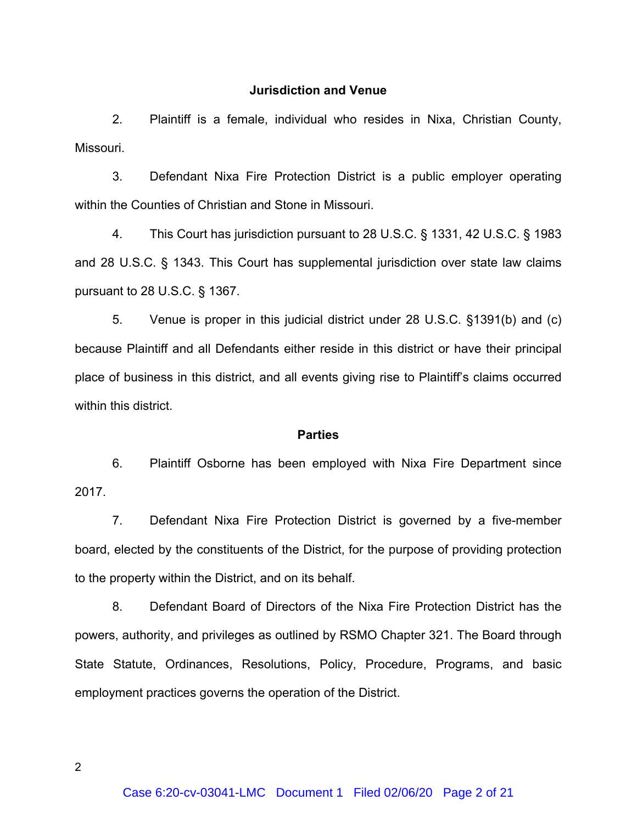### **Jurisdiction and Venue**

2. Plaintiff is a female, individual who resides in Nixa, Christian County, Missouri.

3. Defendant Nixa Fire Protection District is a public employer operating within the Counties of Christian and Stone in Missouri.

4. This Court has jurisdiction pursuant to 28 U.S.C. § 1331, 42 U.S.C. § 1983 and 28 U.S.C. § 1343. This Court has supplemental jurisdiction over state law claims pursuant to 28 U.S.C. § 1367.

5. Venue is proper in this judicial district under 28 U.S.C. §1391(b) and (c) because Plaintiff and all Defendants either reside in this district or have their principal place of business in this district, and all events giving rise to Plaintiff's claims occurred within this district.

## **Parties**

6. Plaintiff Osborne has been employed with Nixa Fire Department since 2017.

7. Defendant Nixa Fire Protection District is governed by a five-member board, elected by the constituents of the District, for the purpose of providing protection to the property within the District, and on its behalf.

8. Defendant Board of Directors of the Nixa Fire Protection District has the powers, authority, and privileges as outlined by RSMO Chapter 321. The Board through State Statute, Ordinances, Resolutions, Policy, Procedure, Programs, and basic employment practices governs the operation of the District.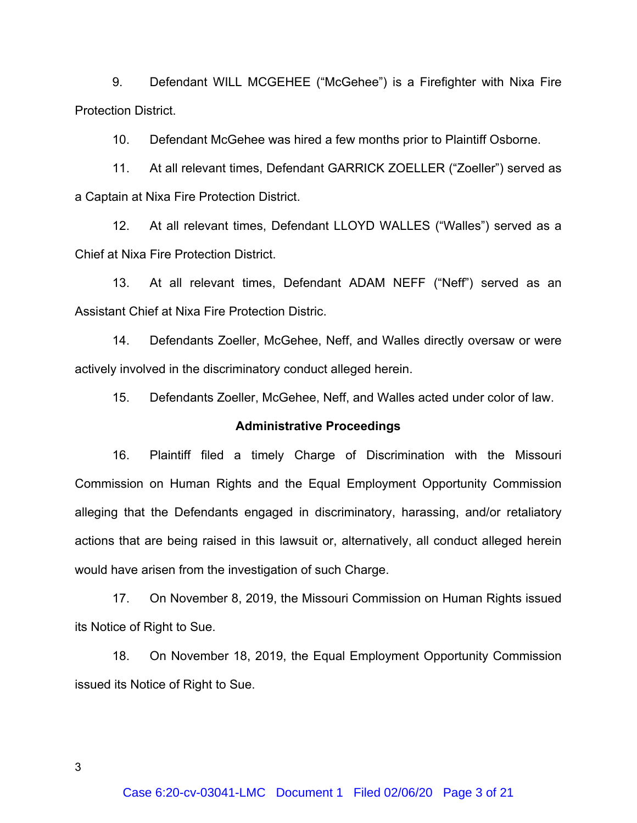9. Defendant WILL MCGEHEE ("McGehee") is a Firefighter with Nixa Fire Protection District.

10. Defendant McGehee was hired a few months prior to Plaintiff Osborne.

11. At all relevant times, Defendant GARRICK ZOELLER ("Zoeller") served as a Captain at Nixa Fire Protection District.

12. At all relevant times, Defendant LLOYD WALLES ("Walles") served as a Chief at Nixa Fire Protection District.

13. At all relevant times, Defendant ADAM NEFF ("Neff") served as an Assistant Chief at Nixa Fire Protection Distric.

14. Defendants Zoeller, McGehee, Neff, and Walles directly oversaw or were actively involved in the discriminatory conduct alleged herein.

15. Defendants Zoeller, McGehee, Neff, and Walles acted under color of law.

# **Administrative Proceedings**

16. Plaintiff filed a timely Charge of Discrimination with the Missouri Commission on Human Rights and the Equal Employment Opportunity Commission alleging that the Defendants engaged in discriminatory, harassing, and/or retaliatory actions that are being raised in this lawsuit or, alternatively, all conduct alleged herein would have arisen from the investigation of such Charge.

17. On November 8, 2019, the Missouri Commission on Human Rights issued its Notice of Right to Sue.

18. On November 18, 2019, the Equal Employment Opportunity Commission issued its Notice of Right to Sue.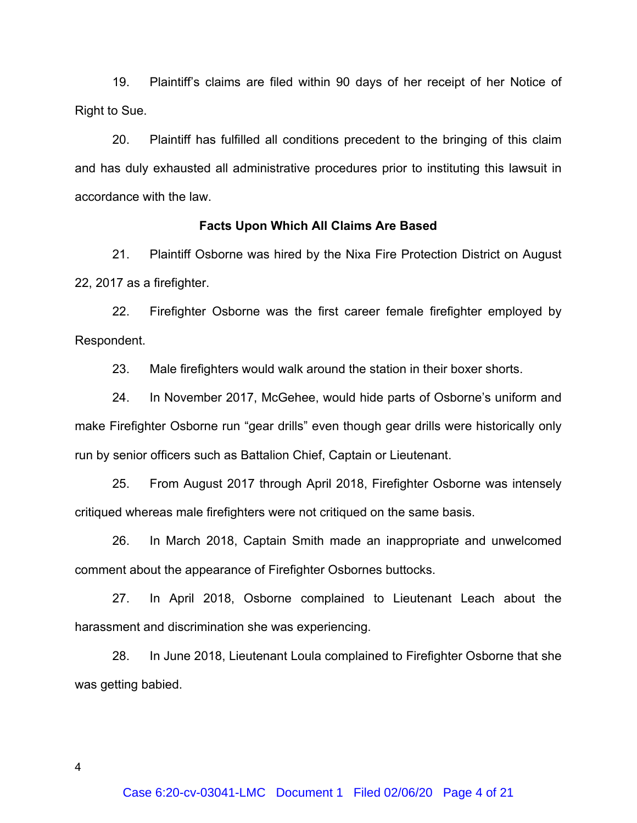19. Plaintiff's claims are filed within 90 days of her receipt of her Notice of Right to Sue.

20. Plaintiff has fulfilled all conditions precedent to the bringing of this claim and has duly exhausted all administrative procedures prior to instituting this lawsuit in accordance with the law.

## **Facts Upon Which All Claims Are Based**

21. Plaintiff Osborne was hired by the Nixa Fire Protection District on August 22, 2017 as a firefighter.

22. Firefighter Osborne was the first career female firefighter employed by Respondent.

23. Male firefighters would walk around the station in their boxer shorts.

24. In November 2017, McGehee, would hide parts of Osborne's uniform and make Firefighter Osborne run "gear drills" even though gear drills were historically only run by senior officers such as Battalion Chief, Captain or Lieutenant.

25. From August 2017 through April 2018, Firefighter Osborne was intensely critiqued whereas male firefighters were not critiqued on the same basis.

26. In March 2018, Captain Smith made an inappropriate and unwelcomed comment about the appearance of Firefighter Osbornes buttocks.

27. In April 2018, Osborne complained to Lieutenant Leach about the harassment and discrimination she was experiencing.

28. In June 2018, Lieutenant Loula complained to Firefighter Osborne that she was getting babied.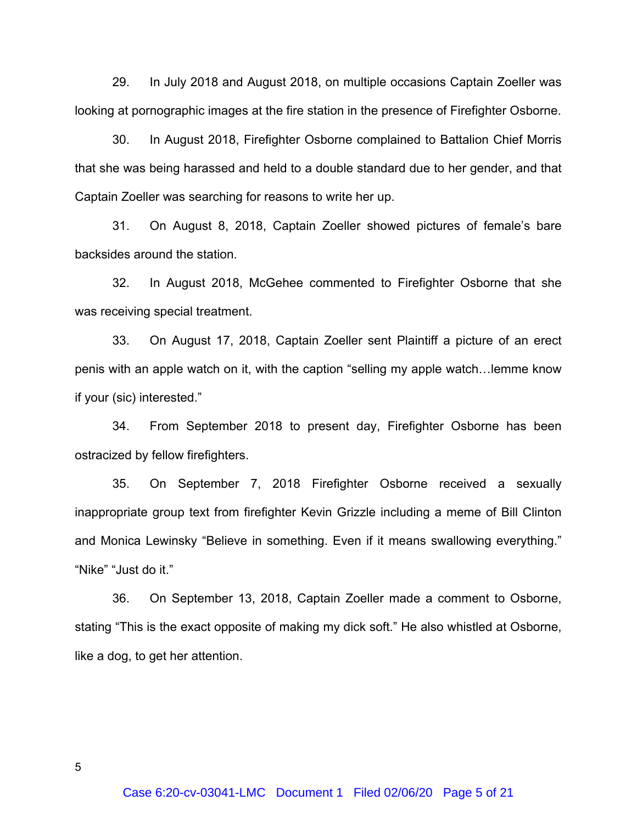29. In July 2018 and August 2018, on multiple occasions Captain Zoeller was looking at pornographic images at the fire station in the presence of Firefighter Osborne.

30. In August 2018, Firefighter Osborne complained to Battalion Chief Morris that she was being harassed and held to a double standard due to her gender, and that Captain Zoeller was searching for reasons to write her up.

31. On August 8, 2018, Captain Zoeller showed pictures of female's bare backsides around the station.

32. In August 2018, McGehee commented to Firefighter Osborne that she was receiving special treatment.

33. On August 17, 2018, Captain Zoeller sent Plaintiff a picture of an erect penis with an apple watch on it, with the caption "selling my apple watch…lemme know if your (sic) interested."

34. From September 2018 to present day, Firefighter Osborne has been ostracized by fellow firefighters.

35. On September 7, 2018 Firefighter Osborne received a sexually inappropriate group text from firefighter Kevin Grizzle including a meme of Bill Clinton and Monica Lewinsky "Believe in something. Even if it means swallowing everything." "Nike" "Just do it."

36. On September 13, 2018, Captain Zoeller made a comment to Osborne, stating "This is the exact opposite of making my dick soft." He also whistled at Osborne, like a dog, to get her attention.

 $5<sub>5</sub>$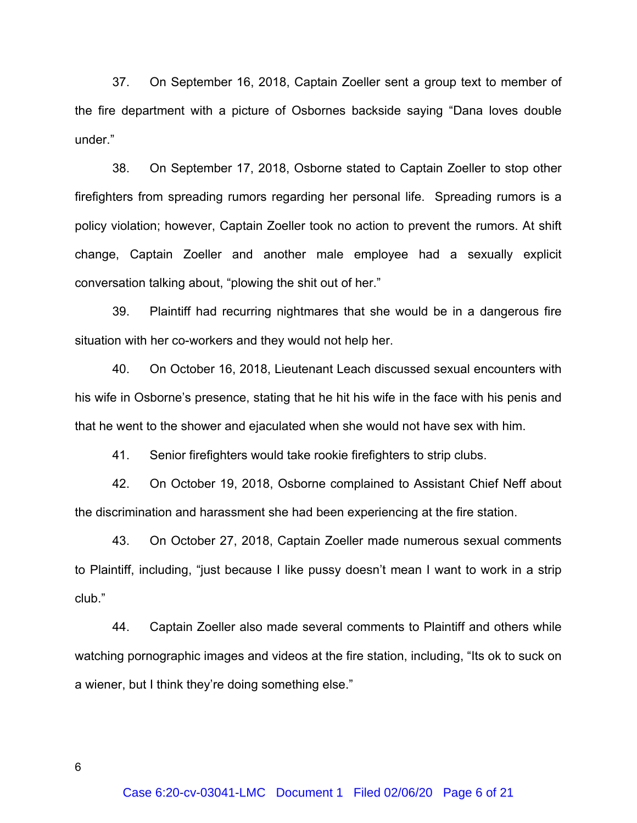37. On September 16, 2018, Captain Zoeller sent a group text to member of the fire department with a picture of Osbornes backside saying "Dana loves double under."

38. On September 17, 2018, Osborne stated to Captain Zoeller to stop other firefighters from spreading rumors regarding her personal life. Spreading rumors is a policy violation; however, Captain Zoeller took no action to prevent the rumors. At shift change, Captain Zoeller and another male employee had a sexually explicit conversation talking about, "plowing the shit out of her."

39. Plaintiff had recurring nightmares that she would be in a dangerous fire situation with her co-workers and they would not help her.

40. On October 16, 2018, Lieutenant Leach discussed sexual encounters with his wife in Osborne's presence, stating that he hit his wife in the face with his penis and that he went to the shower and ejaculated when she would not have sex with him.

41. Senior firefighters would take rookie firefighters to strip clubs.

42. On October 19, 2018, Osborne complained to Assistant Chief Neff about the discrimination and harassment she had been experiencing at the fire station.

43. On October 27, 2018, Captain Zoeller made numerous sexual comments to Plaintiff, including, "just because I like pussy doesn't mean I want to work in a strip club."

44. Captain Zoeller also made several comments to Plaintiff and others while watching pornographic images and videos at the fire station, including, "Its ok to suck on a wiener, but I think they're doing something else."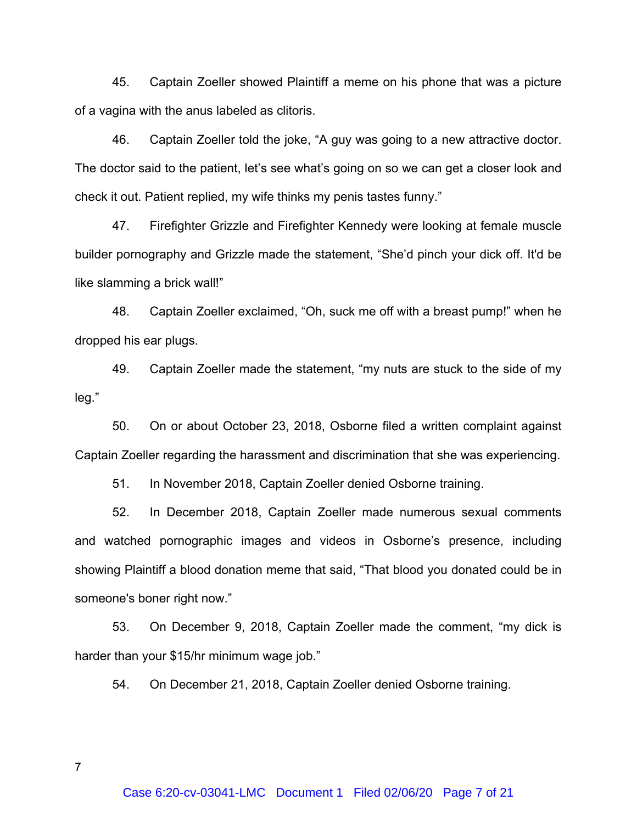45. Captain Zoeller showed Plaintiff a meme on his phone that was a picture of a vagina with the anus labeled as clitoris.

46. Captain Zoeller told the joke, "A guy was going to a new attractive doctor. The doctor said to the patient, let's see what's going on so we can get a closer look and check it out. Patient replied, my wife thinks my penis tastes funny."

47. Firefighter Grizzle and Firefighter Kennedy were looking at female muscle builder pornography and Grizzle made the statement, "She'd pinch your dick off. It'd be like slamming a brick wall!"

48. Captain Zoeller exclaimed, "Oh, suck me off with a breast pump!" when he dropped his ear plugs.

49. Captain Zoeller made the statement, "my nuts are stuck to the side of my leg."

50. On or about October 23, 2018, Osborne filed a written complaint against Captain Zoeller regarding the harassment and discrimination that she was experiencing.

51. In November 2018, Captain Zoeller denied Osborne training.

52. In December 2018, Captain Zoeller made numerous sexual comments and watched pornographic images and videos in Osborne's presence, including showing Plaintiff a blood donation meme that said, "That blood you donated could be in someone's boner right now."

53. On December 9, 2018, Captain Zoeller made the comment, "my dick is harder than your \$15/hr minimum wage job."

54. On December 21, 2018, Captain Zoeller denied Osborne training.

Case 6:20-cv-03041-LMC Document 1 Filed 02/06/20 Page 7 of 21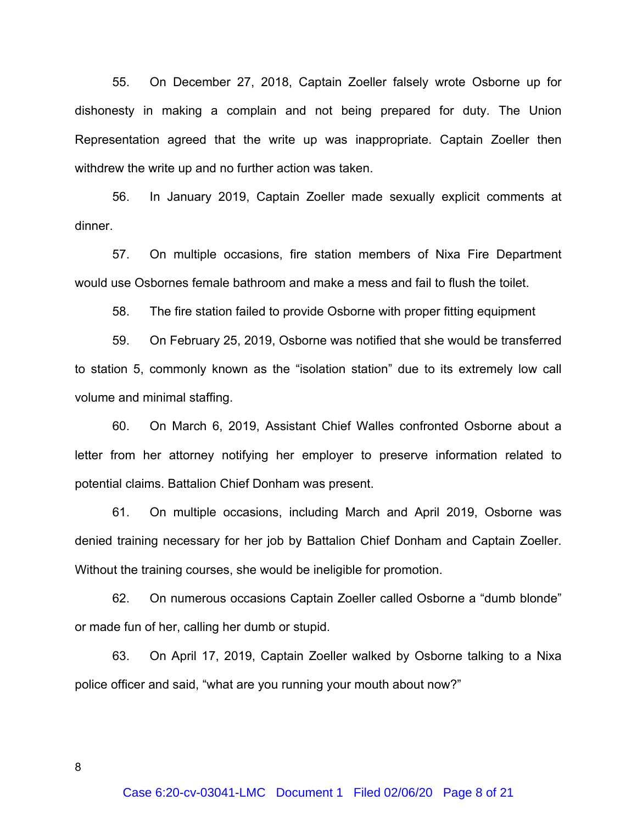55. On December 27, 2018, Captain Zoeller falsely wrote Osborne up for dishonesty in making a complain and not being prepared for duty. The Union Representation agreed that the write up was inappropriate. Captain Zoeller then withdrew the write up and no further action was taken.

56. In January 2019, Captain Zoeller made sexually explicit comments at dinner.

57. On multiple occasions, fire station members of Nixa Fire Department would use Osbornes female bathroom and make a mess and fail to flush the toilet.

58. The fire station failed to provide Osborne with proper fitting equipment

59. On February 25, 2019, Osborne was notified that she would be transferred to station 5, commonly known as the "isolation station" due to its extremely low call volume and minimal staffing.

60. On March 6, 2019, Assistant Chief Walles confronted Osborne about a letter from her attorney notifying her employer to preserve information related to potential claims. Battalion Chief Donham was present.

61. On multiple occasions, including March and April 2019, Osborne was denied training necessary for her job by Battalion Chief Donham and Captain Zoeller. Without the training courses, she would be ineligible for promotion.

62. On numerous occasions Captain Zoeller called Osborne a "dumb blonde" or made fun of her, calling her dumb or stupid.

63. On April 17, 2019, Captain Zoeller walked by Osborne talking to a Nixa police officer and said, "what are you running your mouth about now?"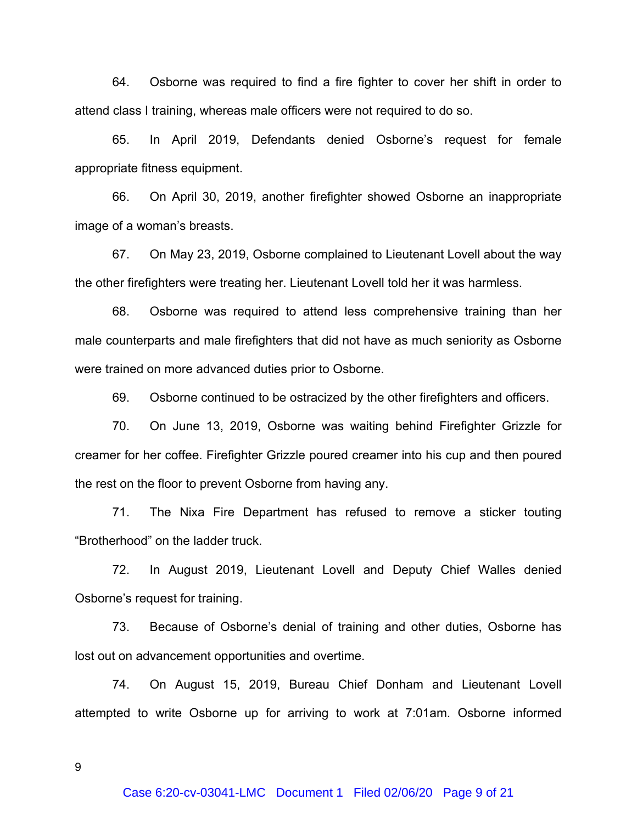64. Osborne was required to find a fire fighter to cover her shift in order to attend class I training, whereas male officers were not required to do so.

65. In April 2019, Defendants denied Osborne's request for female appropriate fitness equipment.

66. On April 30, 2019, another firefighter showed Osborne an inappropriate image of a woman's breasts.

67. On May 23, 2019, Osborne complained to Lieutenant Lovell about the way the other firefighters were treating her. Lieutenant Lovell told her it was harmless.

68. Osborne was required to attend less comprehensive training than her male counterparts and male firefighters that did not have as much seniority as Osborne were trained on more advanced duties prior to Osborne.

69. Osborne continued to be ostracized by the other firefighters and officers.

70. On June 13, 2019, Osborne was waiting behind Firefighter Grizzle for creamer for her coffee. Firefighter Grizzle poured creamer into his cup and then poured the rest on the floor to prevent Osborne from having any.

71. The Nixa Fire Department has refused to remove a sticker touting "Brotherhood" on the ladder truck.

72. In August 2019, Lieutenant Lovell and Deputy Chief Walles denied Osborne's request for training.

73. Because of Osborne's denial of training and other duties, Osborne has lost out on advancement opportunities and overtime.

74. On August 15, 2019, Bureau Chief Donham and Lieutenant Lovell attempted to write Osborne up for arriving to work at 7:01am. Osborne informed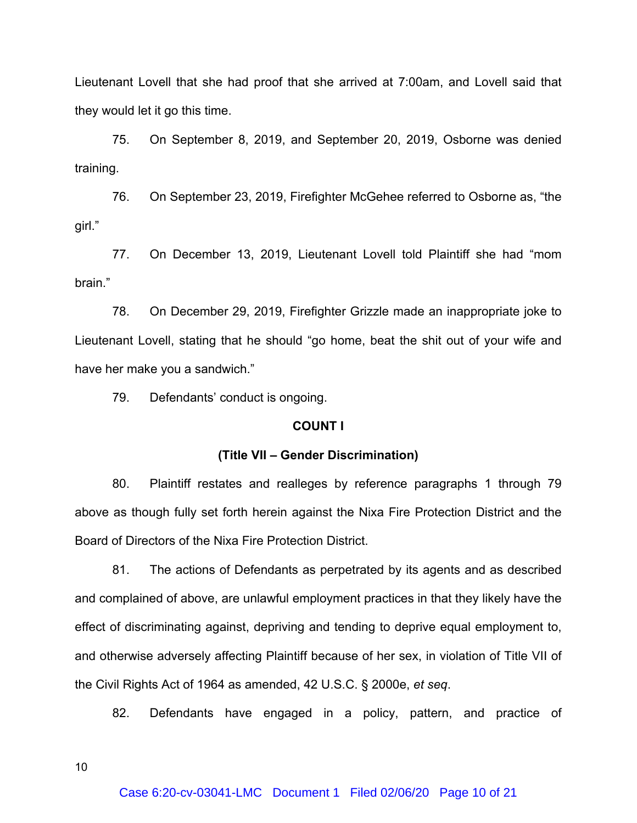Lieutenant Lovell that she had proof that she arrived at 7:00am, and Lovell said that they would let it go this time.

75. On September 8, 2019, and September 20, 2019, Osborne was denied training.

76. On September 23, 2019, Firefighter McGehee referred to Osborne as, "the girl."

77. On December 13, 2019, Lieutenant Lovell told Plaintiff she had "mom brain."

78. On December 29, 2019, Firefighter Grizzle made an inappropriate joke to Lieutenant Lovell, stating that he should "go home, beat the shit out of your wife and have her make you a sandwich."

79. Defendants' conduct is ongoing.

# **COUNT I**

#### **(Title VII – Gender Discrimination)**

80. Plaintiff restates and realleges by reference paragraphs 1 through 79 above as though fully set forth herein against the Nixa Fire Protection District and the Board of Directors of the Nixa Fire Protection District.

81. The actions of Defendants as perpetrated by its agents and as described and complained of above, are unlawful employment practices in that they likely have the effect of discriminating against, depriving and tending to deprive equal employment to, and otherwise adversely affecting Plaintiff because of her sex, in violation of Title VII of the Civil Rights Act of 1964 as amended, 42 U.S.C. § 2000e, *et seq*. 82. Defendants have engaged in a policy, pattern, and practice of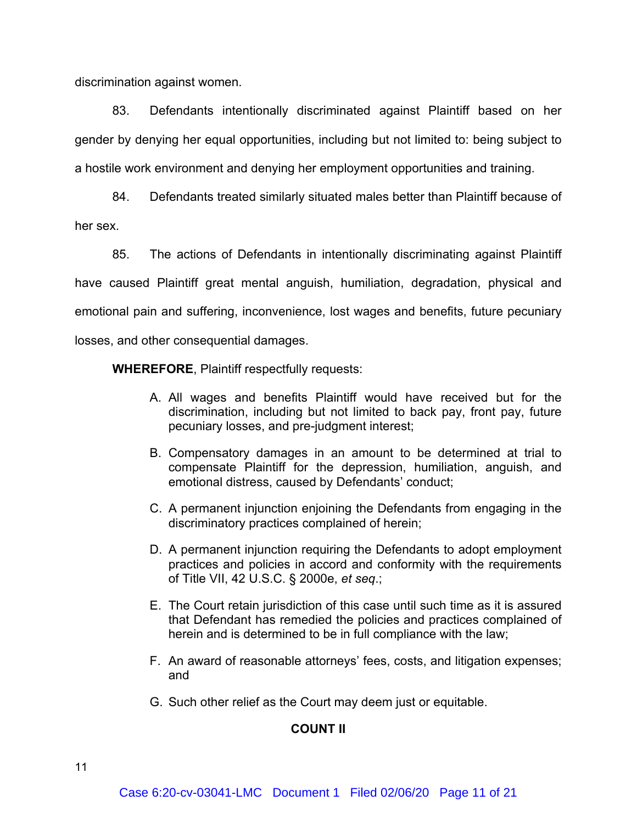discrimination against women.

83. Defendants intentionally discriminated against Plaintiff based on her gender by denying her equal opportunities, including but not limited to: being subject to a hostile work environment and denying her employment opportunities and training.

84. Defendants treated similarly situated males better than Plaintiff because of her sex.

85. The actions of Defendants in intentionally discriminating against Plaintiff have caused Plaintiff great mental anguish, humiliation, degradation, physical and emotional pain and suffering, inconvenience, lost wages and benefits, future pecuniary losses, and other consequential damages.

**WHEREFORE**, Plaintiff respectfully requests:

- A. All wages and benefits Plaintiff would have received but for the discrimination, including but not limited to back pay, front pay, future pecuniary losses, and pre-judgment interest;
- B. Compensatory damages in an amount to be determined at trial to compensate Plaintiff for the depression, humiliation, anguish, and emotional distress, caused by Defendants' conduct;
- C. A permanent injunction enjoining the Defendants from engaging in the discriminatory practices complained of herein;
- D. A permanent injunction requiring the Defendants to adopt employment practices and policies in accord and conformity with the requirements of Title VII, 42 U.S.C. § 2000e, *et seq*.;
- E. The Court retain jurisdiction of this case until such time as it is assured that Defendant has remedied the policies and practices complained of herein and is determined to be in full compliance with the law;
- F. An award of reasonable attorneys' fees, costs, and litigation expenses; and
- G. Such other relief as the Court may deem just or equitable.

# **COUNT II**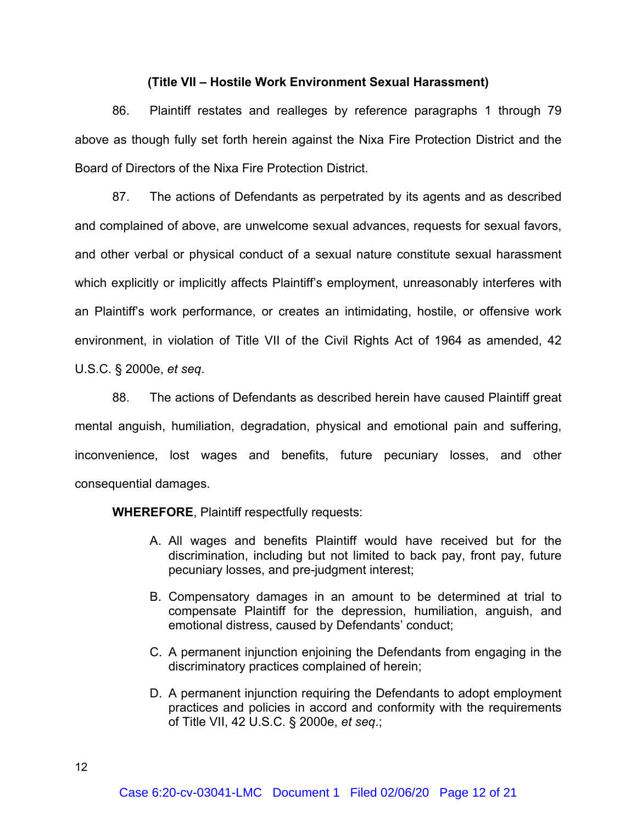# **(Title VII – Hostile Work Environment Sexual Harassment)**

86. Plaintiff restates and realleges by reference paragraphs 1 through 79 above as though fully set forth herein against the Nixa Fire Protection District and the Board of Directors of the Nixa Fire Protection District.

87. The actions of Defendants as perpetrated by its agents and as described and complained of above, are unwelcome sexual advances, requests for sexual favors, and other verbal or physical conduct of a sexual nature constitute sexual harassment which explicitly or implicitly affects Plaintiff's employment, unreasonably interferes with an Plaintiff's work performance, or creates an intimidating, hostile, or offensive work environment, in violation of Title VII of the Civil Rights Act of 1964 as amended, 42 U.S.C. § 2000e, *et seq*. 88. The actions of Defendants as described herein have caused Plaintiff great

mental anguish, humiliation, degradation, physical and emotional pain and suffering, inconvenience, lost wages and benefits, future pecuniary losses, and other consequential damages.

**WHEREFORE**, Plaintiff respectfully requests:

- A. All wages and benefits Plaintiff would have received but for the discrimination, including but not limited to back pay, front pay, future pecuniary losses, and pre-judgment interest;
- B. Compensatory damages in an amount to be determined at trial to compensate Plaintiff for the depression, humiliation, anguish, and emotional distress, caused by Defendants' conduct;
- C. A permanent injunction enjoining the Defendants from engaging in the discriminatory practices complained of herein;
- D. A permanent injunction requiring the Defendants to adopt employment practices and policies in accord and conformity with the requirements of Title VII, 42 U.S.C. § 2000e, *et seq*.;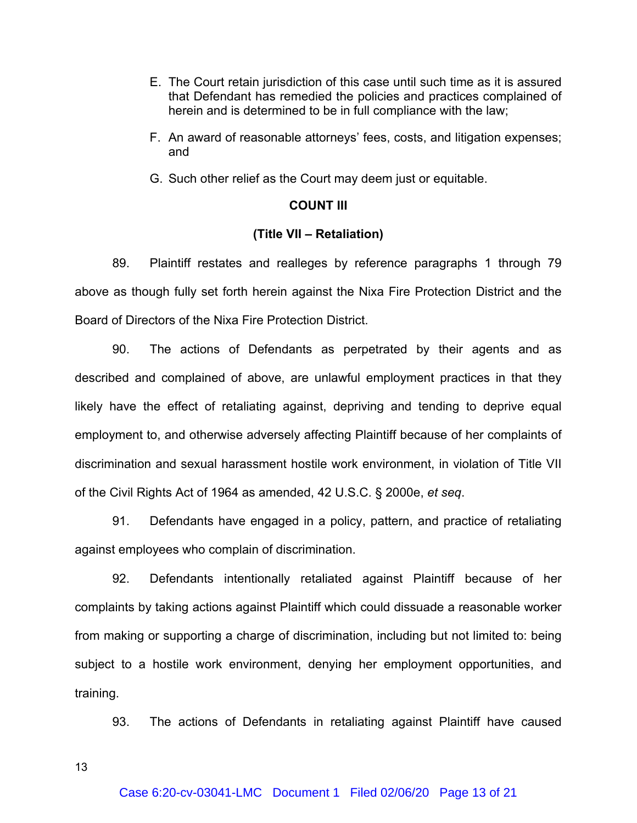- E. The Court retain jurisdiction of this case until such time as it is assured that Defendant has remedied the policies and practices complained of herein and is determined to be in full compliance with the law;
- F. An award of reasonable attorneys' fees, costs, and litigation expenses; and
- G. Such other relief as the Court may deem just or equitable.

# **COUNT III**

# **(Title VII – Retaliation)**

89. Plaintiff restates and realleges by reference paragraphs 1 through 79 above as though fully set forth herein against the Nixa Fire Protection District and the Board of Directors of the Nixa Fire Protection District.

90. The actions of Defendants as perpetrated by their agents and as described and complained of above, are unlawful employment practices in that they likely have the effect of retaliating against, depriving and tending to deprive equal employment to, and otherwise adversely affecting Plaintiff because of her complaints of discrimination and sexual harassment hostile work environment, in violation of Title VII of the Civil Rights Act of 1964 as amended, 42 U.S.C. § 2000e, *et seq*. 91. Defendants have engaged in a policy, pattern, and practice of retaliating

against employees who complain of discrimination.

92. Defendants intentionally retaliated against Plaintiff because of her complaints by taking actions against Plaintiff which could dissuade a reasonable worker from making or supporting a charge of discrimination, including but not limited to: being subject to a hostile work environment, denying her employment opportunities, and training.

93. The actions of Defendants in retaliating against Plaintiff have caused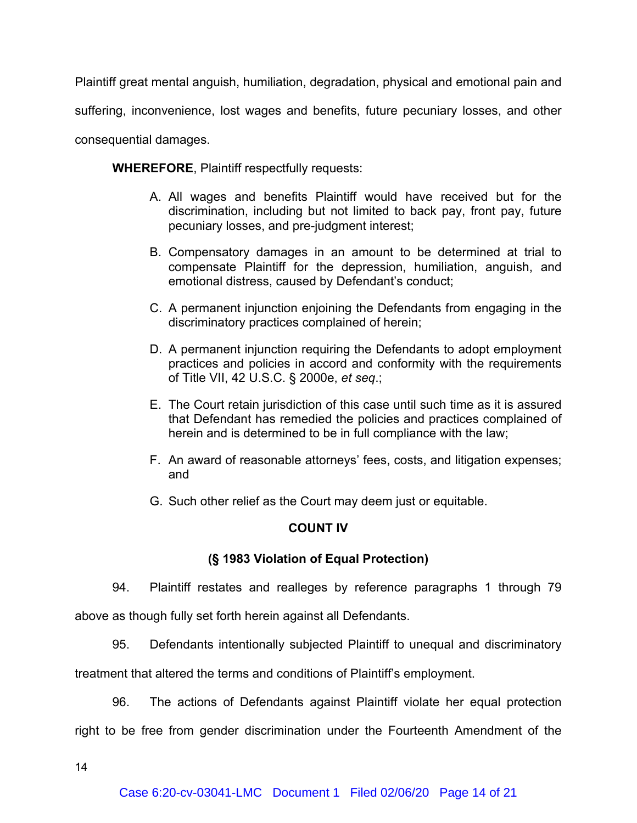Plaintiff great mental anguish, humiliation, degradation, physical and emotional pain and suffering, inconvenience, lost wages and benefits, future pecuniary losses, and other consequential damages.

**WHEREFORE**, Plaintiff respectfully requests:

- A. All wages and benefits Plaintiff would have received but for the discrimination, including but not limited to back pay, front pay, future pecuniary losses, and pre-judgment interest;
- B. Compensatory damages in an amount to be determined at trial to compensate Plaintiff for the depression, humiliation, anguish, and emotional distress, caused by Defendant's conduct;
- C. A permanent injunction enjoining the Defendants from engaging in the discriminatory practices complained of herein;
- D. A permanent injunction requiring the Defendants to adopt employment practices and policies in accord and conformity with the requirements of Title VII, 42 U.S.C. § 2000e, *et seq*.;
- E. The Court retain jurisdiction of this case until such time as it is assured that Defendant has remedied the policies and practices complained of herein and is determined to be in full compliance with the law;
- F. An award of reasonable attorneys' fees, costs, and litigation expenses; and
- G. Such other relief as the Court may deem just or equitable.

# **COUNT IV**

# **(§ 1983 Violation of Equal Protection)**

94. Plaintiff restates and realleges by reference paragraphs 1 through 79

above as though fully set forth herein against all Defendants.

95. Defendants intentionally subjected Plaintiff to unequal and discriminatory

treatment that altered the terms and conditions of Plaintiff's employment.

96. The actions of Defendants against Plaintiff violate her equal protection right to be free from gender discrimination under the Fourteenth Amendment of the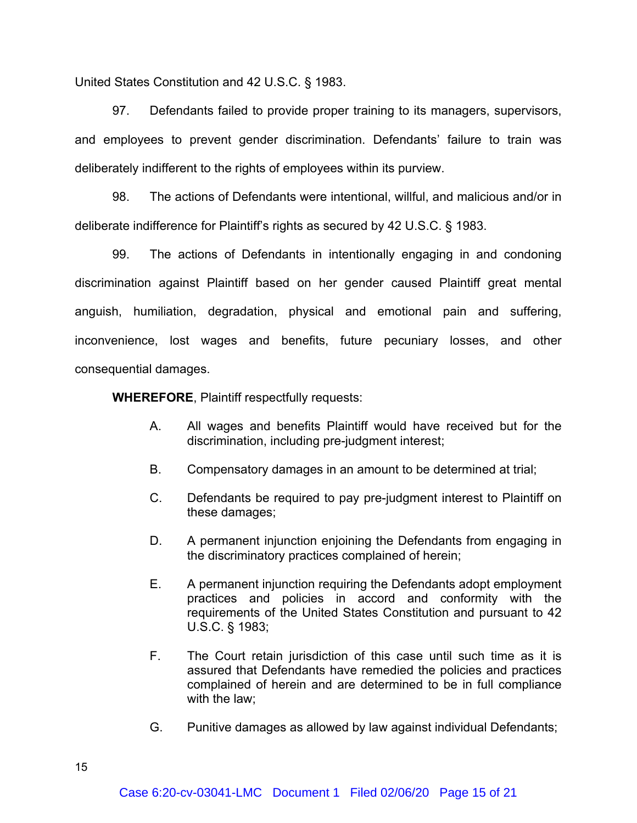United States Constitution and 42 U.S.C. § 1983.

97. Defendants failed to provide proper training to its managers, supervisors, and employees to prevent gender discrimination. Defendants' failure to train was deliberately indifferent to the rights of employees within its purview.

98. The actions of Defendants were intentional, willful, and malicious and/or in deliberate indifference for Plaintiff's rights as secured by 42 U.S.C. § 1983.

99. The actions of Defendants in intentionally engaging in and condoning discrimination against Plaintiff based on her gender caused Plaintiff great mental anguish, humiliation, degradation, physical and emotional pain and suffering, inconvenience, lost wages and benefits, future pecuniary losses, and other consequential damages.

**WHEREFORE**, Plaintiff respectfully requests:

- A. All wages and benefits Plaintiff would have received but for the discrimination, including pre-judgment interest;
- B. Compensatory damages in an amount to be determined at trial;
- C. Defendants be required to pay pre-judgment interest to Plaintiff on these damages;
- D. A permanent injunction enjoining the Defendants from engaging in the discriminatory practices complained of herein;
- E. A permanent injunction requiring the Defendants adopt employment practices and policies in accord and conformity with the requirements of the United States Constitution and pursuant to 42 U.S.C. § 1983;
- F. The Court retain jurisdiction of this case until such time as it is assured that Defendants have remedied the policies and practices complained of herein and are determined to be in full compliance with the law;
- G. Punitive damages as allowed by law against individual Defendants;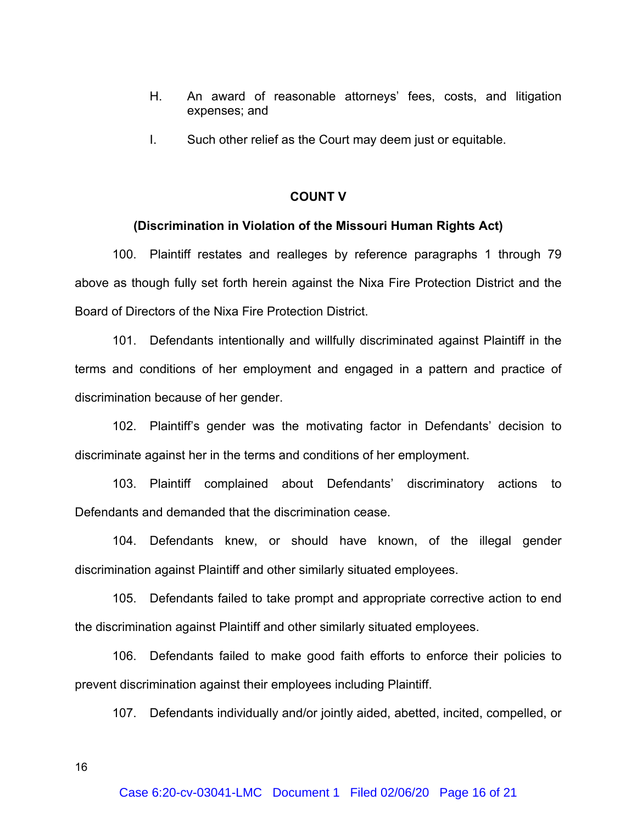- H. An award of reasonable attorneys' fees, costs, and litigation expenses; and
- I. Such other relief as the Court may deem just or equitable.

# **COUNT V**

#### **(Discrimination in Violation of the Missouri Human Rights Act)**

100. Plaintiff restates and realleges by reference paragraphs 1 through 79 above as though fully set forth herein against the Nixa Fire Protection District and the Board of Directors of the Nixa Fire Protection District.

101. Defendants intentionally and willfully discriminated against Plaintiff in the terms and conditions of her employment and engaged in a pattern and practice of discrimination because of her gender.

102. Plaintiff's gender was the motivating factor in Defendants' decision to discriminate against her in the terms and conditions of her employment.

103. Plaintiff complained about Defendants' discriminatory actions to Defendants and demanded that the discrimination cease.

104. Defendants knew, or should have known, of the illegal gender discrimination against Plaintiff and other similarly situated employees.

105. Defendants failed to take prompt and appropriate corrective action to end the discrimination against Plaintiff and other similarly situated employees.

106. Defendants failed to make good faith efforts to enforce their policies to prevent discrimination against their employees including Plaintiff.

107. Defendants individually and/or jointly aided, abetted, incited, compelled, or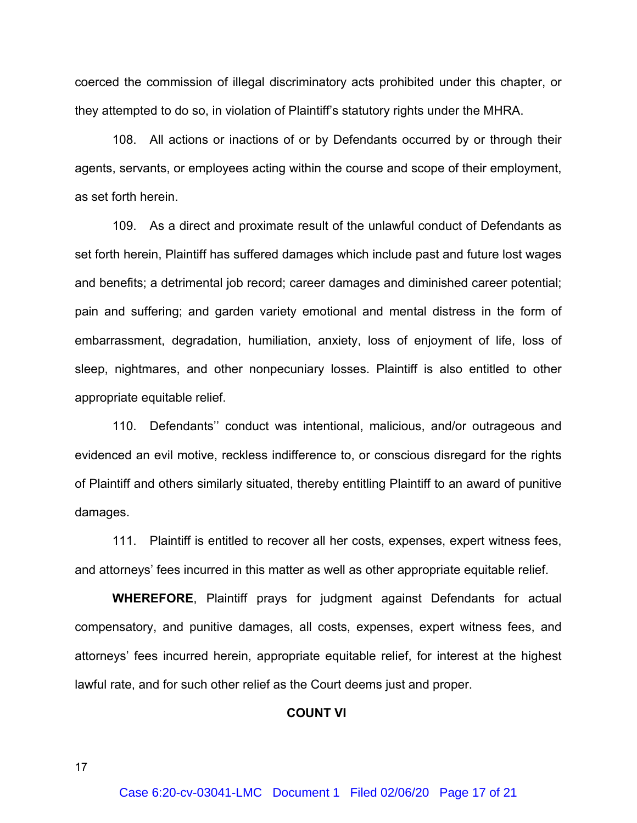coerced the commission of illegal discriminatory acts prohibited under this chapter, or they attempted to do so, in violation of Plaintiff's statutory rights under the MHRA.

108. All actions or inactions of or by Defendants occurred by or through their agents, servants, or employees acting within the course and scope of their employment, as set forth herein.

109. As a direct and proximate result of the unlawful conduct of Defendants as set forth herein, Plaintiff has suffered damages which include past and future lost wages and benefits; a detrimental job record; career damages and diminished career potential; pain and suffering; and garden variety emotional and mental distress in the form of embarrassment, degradation, humiliation, anxiety, loss of enjoyment of life, loss of sleep, nightmares, and other nonpecuniary losses. Plaintiff is also entitled to other appropriate equitable relief.

110. Defendants'' conduct was intentional, malicious, and/or outrageous and evidenced an evil motive, reckless indifference to, or conscious disregard for the rights of Plaintiff and others similarly situated, thereby entitling Plaintiff to an award of punitive damages.

111. Plaintiff is entitled to recover all her costs, expenses, expert witness fees, and attorneys' fees incurred in this matter as well as other appropriate equitable relief.

**WHEREFORE**, Plaintiff prays for judgment against Defendants for actual compensatory, and punitive damages, all costs, expenses, expert witness fees, and attorneys' fees incurred herein, appropriate equitable relief, for interest at the highest lawful rate, and for such other relief as the Court deems just and proper.

#### **COUNT VI**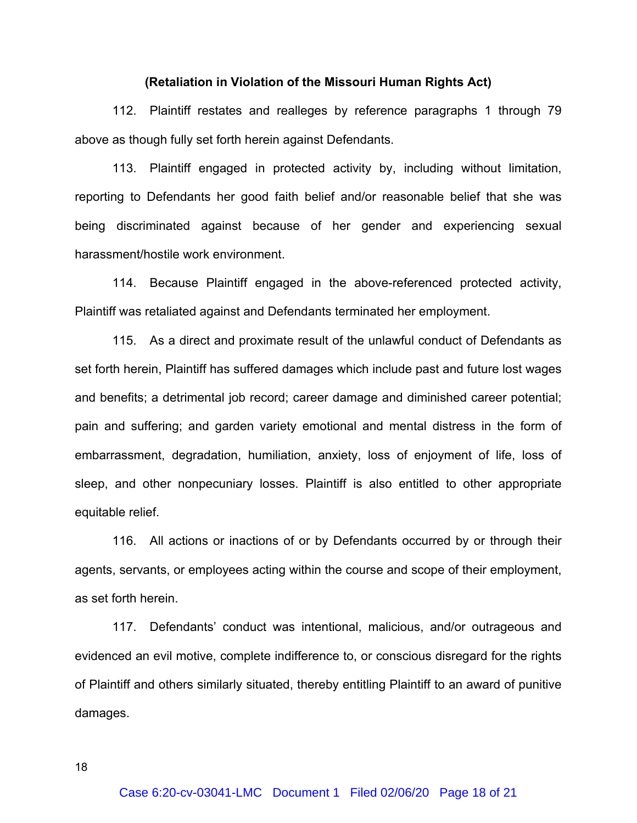#### **(Retaliation in Violation of the Missouri Human Rights Act)**

112. Plaintiff restates and realleges by reference paragraphs 1 through 79 above as though fully set forth herein against Defendants.

113. Plaintiff engaged in protected activity by, including without limitation, reporting to Defendants her good faith belief and/or reasonable belief that she was being discriminated against because of her gender and experiencing sexual harassment/hostile work environment.

114. Because Plaintiff engaged in the above-referenced protected activity, Plaintiff was retaliated against and Defendants terminated her employment.

115. As a direct and proximate result of the unlawful conduct of Defendants as set forth herein, Plaintiff has suffered damages which include past and future lost wages and benefits; a detrimental job record; career damage and diminished career potential; pain and suffering; and garden variety emotional and mental distress in the form of embarrassment, degradation, humiliation, anxiety, loss of enjoyment of life, loss of sleep, and other nonpecuniary losses. Plaintiff is also entitled to other appropriate equitable relief.

116. All actions or inactions of or by Defendants occurred by or through their agents, servants, or employees acting within the course and scope of their employment, as set forth herein.

117. Defendants' conduct was intentional, malicious, and/or outrageous and evidenced an evil motive, complete indifference to, or conscious disregard for the rights of Plaintiff and others similarly situated, thereby entitling Plaintiff to an award of punitive damages.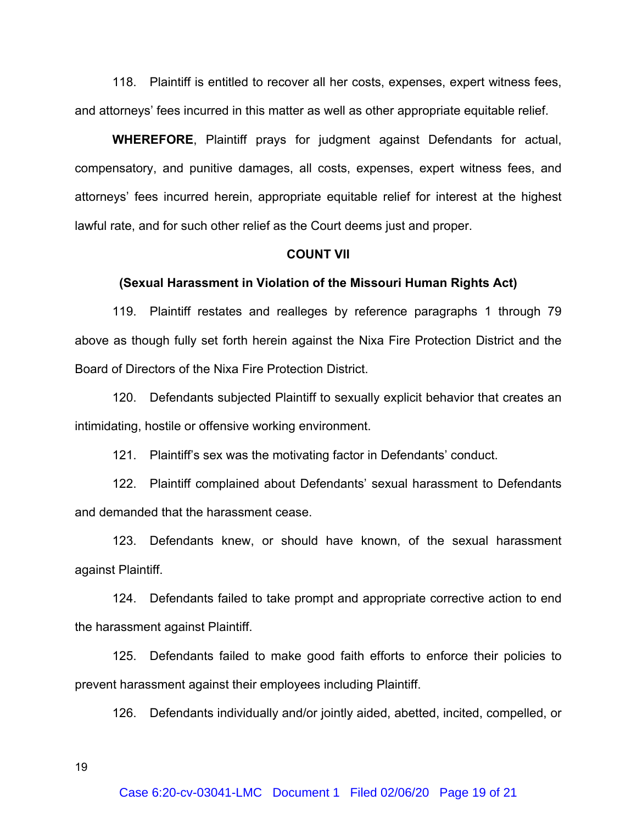118. Plaintiff is entitled to recover all her costs, expenses, expert witness fees, and attorneys' fees incurred in this matter as well as other appropriate equitable relief.

**WHEREFORE**, Plaintiff prays for judgment against Defendants for actual, compensatory, and punitive damages, all costs, expenses, expert witness fees, and attorneys' fees incurred herein, appropriate equitable relief for interest at the highest lawful rate, and for such other relief as the Court deems just and proper.

# **COUNT VII**

#### **(Sexual Harassment in Violation of the Missouri Human Rights Act)**

119. Plaintiff restates and realleges by reference paragraphs 1 through 79 above as though fully set forth herein against the Nixa Fire Protection District and the Board of Directors of the Nixa Fire Protection District.

120. Defendants subjected Plaintiff to sexually explicit behavior that creates an intimidating, hostile or offensive working environment.

121. Plaintiff's sex was the motivating factor in Defendants' conduct.

122. Plaintiff complained about Defendants' sexual harassment to Defendants and demanded that the harassment cease.

123. Defendants knew, or should have known, of the sexual harassment against Plaintiff.

124. Defendants failed to take prompt and appropriate corrective action to end the harassment against Plaintiff.

125. Defendants failed to make good faith efforts to enforce their policies to prevent harassment against their employees including Plaintiff.

126. Defendants individually and/or jointly aided, abetted, incited, compelled, or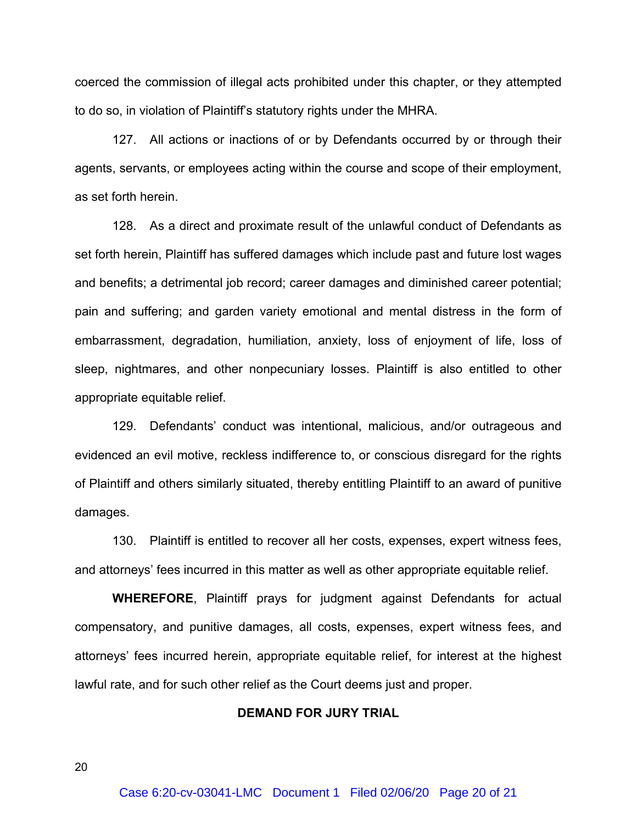coerced the commission of illegal acts prohibited under this chapter, or they attempted to do so, in violation of Plaintiff's statutory rights under the MHRA.

127. All actions or inactions of or by Defendants occurred by or through their agents, servants, or employees acting within the course and scope of their employment, as set forth herein.

128. As a direct and proximate result of the unlawful conduct of Defendants as set forth herein, Plaintiff has suffered damages which include past and future lost wages and benefits; a detrimental job record; career damages and diminished career potential; pain and suffering; and garden variety emotional and mental distress in the form of embarrassment, degradation, humiliation, anxiety, loss of enjoyment of life, loss of sleep, nightmares, and other nonpecuniary losses. Plaintiff is also entitled to other appropriate equitable relief.

129. Defendants' conduct was intentional, malicious, and/or outrageous and evidenced an evil motive, reckless indifference to, or conscious disregard for the rights of Plaintiff and others similarly situated, thereby entitling Plaintiff to an award of punitive damages.

130. Plaintiff is entitled to recover all her costs, expenses, expert witness fees, and attorneys' fees incurred in this matter as well as other appropriate equitable relief.

**WHEREFORE**, Plaintiff prays for judgment against Defendants for actual compensatory, and punitive damages, all costs, expenses, expert witness fees, and attorneys' fees incurred herein, appropriate equitable relief, for interest at the highest lawful rate, and for such other relief as the Court deems just and proper.

#### **DEMAND FOR JURY TRIAL**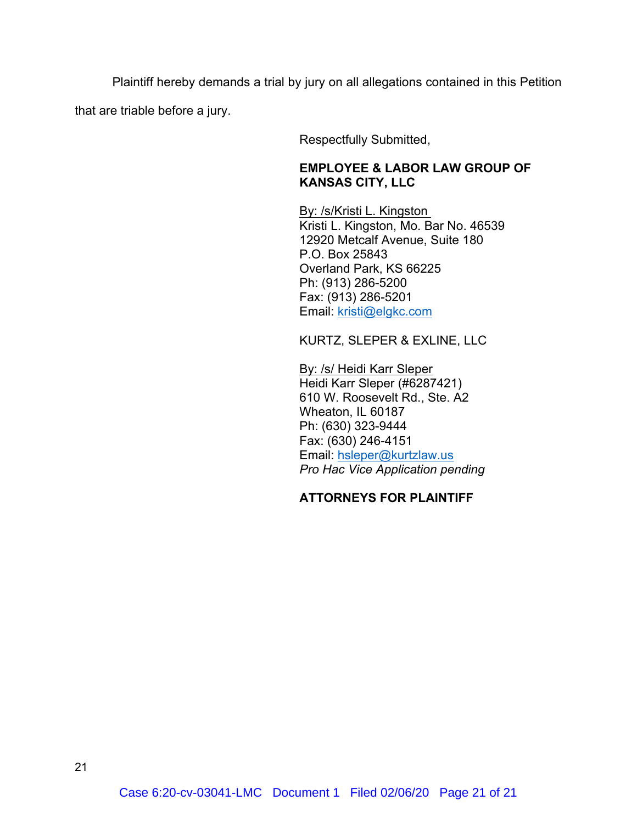Plaintiff hereby demands a trial by jury on all allegations contained in this Petition that are triable before a jury.

Respectfully Submitted,

# **EMPLOYEE & LABOR LAW GROUP OF KANSAS CITY, LLC**

By: /s/Kristi L. Kingston Kristi L. Kingston, Mo. Bar No. 46539 12920 Metcalf Avenue, Suite 180 P.O. Box 25843 Overland Park, KS 66225 Ph: (913) 286-5200 Fax: (913) 286-5201 Email: kristi@elgkc.com

KURTZ, SLEPER & EXLINE, LLC

By: /s/ Heidi Karr Sleper Heidi Karr Sleper (#6287421) 610 W. Roosevelt Rd., Ste. A2 Wheaton, IL 60187 Ph: (630) 323-9444 Fax: (630) 246-4151 Email: hsleper@kurtzlaw.us *Pro Hac Vice Application pending*

# **ATTORNEYS FOR PLAINTIFF**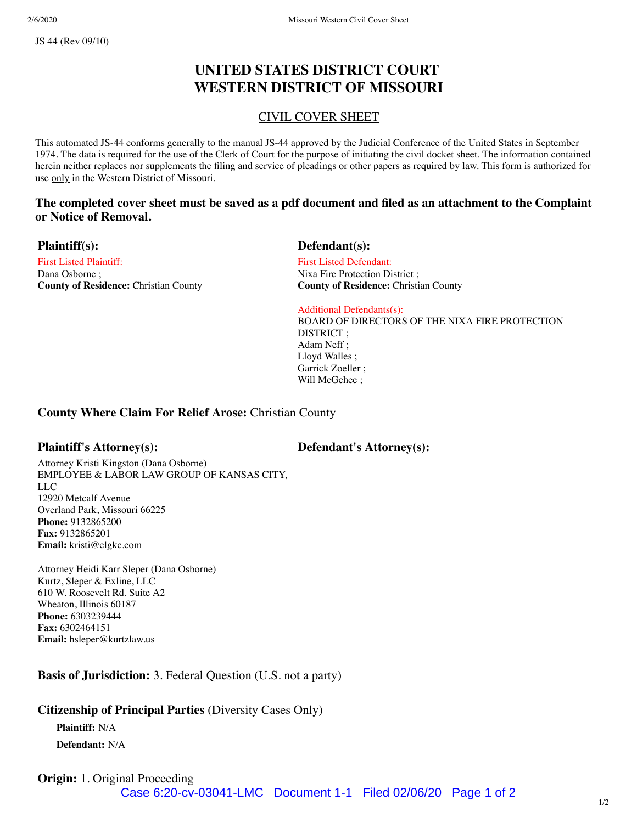# **UNITED STATES DISTRICT COURT WESTERN DISTRICT OF MISSOURI**

# CIVIL COVER SHEET

This automated JS-44 conforms generally to the manual JS-44 approved by the Judicial Conference of the United States in September 1974. The data is required for the use of the Clerk of Court for the purpose of initiating the civil docket sheet. The information contained herein neither replaces nor supplements the filing and service of pleadings or other papers as required by law. This form is authorized for use only in the Western District of Missouri.

# **The completed cover sheet must be saved as a pdf document and filed as an attachment to the Complaint or Notice of Removal.**

First Listed Plaintiff: Dana Osborne ; **County of Residence:** Christian County

### **Plaintiff(s): Defendant(s):**

First Listed Defendant: Nixa Fire Protection District ; **County of Residence:** Christian County

Additional Defendants(s): BOARD OF DIRECTORS OF THE NIXA FIRE PROTECTION DISTRICT ; Adam Neff ; Lloyd Walles ; Garrick Zoeller ; Will McGehee ;

### **County Where Claim For Relief Arose:** Christian County

**Plaintiff's Attorney(s): Defendant's Attorney(s):**

Attorney Kristi Kingston (Dana Osborne) EMPLOYEE & LABOR LAW GROUP OF KANSAS CITY, LLC 12920 Metcalf Avenue Overland Park, Missouri 66225 **Phone:** 9132865200 **Fax:** 9132865201 **Email:** kristi@elgkc.com

Attorney Heidi Karr Sleper (Dana Osborne) Kurtz, Sleper & Exline, LLC 610 W. Roosevelt Rd. Suite A2 Wheaton, Illinois 60187 **Phone:** 6303239444 **Fax:** 6302464151 **Email:** hsleper@kurtzlaw.us

**Basis of Jurisdiction:** 3. Federal Question (U.S. not a party)

# **Citizenship of Principal Parties** (Diversity Cases Only)

**Plaintiff:** N/A

**Defendant:** N/A

# **Origin:** 1. Original Proceeding